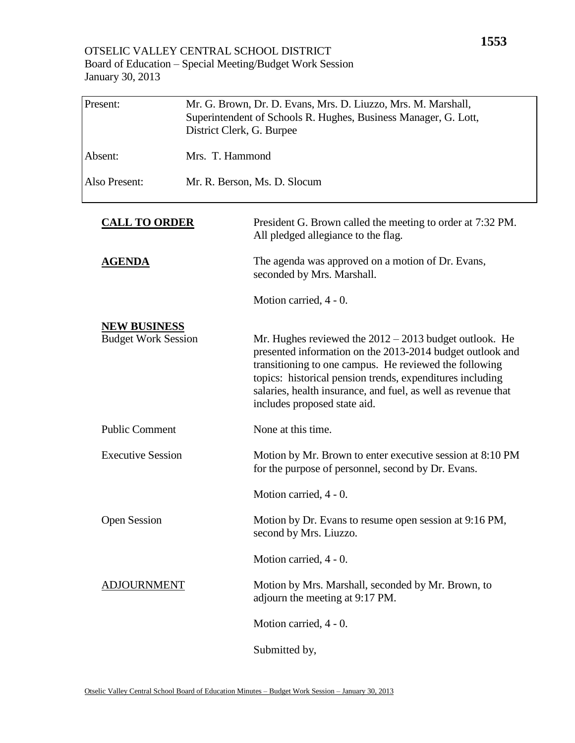## OTSELIC VALLEY CENTRAL SCHOOL DISTRICT Board of Education – Special Meeting/Budget Work Session January 30, 2013

| Present:                                          | Mr. G. Brown, Dr. D. Evans, Mrs. D. Liuzzo, Mrs. M. Marshall,<br>Superintendent of Schools R. Hughes, Business Manager, G. Lott,<br>District Clerk, G. Burpee |                                                                                                                                                                                                                                                                                                                                               |
|---------------------------------------------------|---------------------------------------------------------------------------------------------------------------------------------------------------------------|-----------------------------------------------------------------------------------------------------------------------------------------------------------------------------------------------------------------------------------------------------------------------------------------------------------------------------------------------|
| Absent:                                           | Mrs. T. Hammond                                                                                                                                               |                                                                                                                                                                                                                                                                                                                                               |
| Also Present:                                     |                                                                                                                                                               | Mr. R. Berson, Ms. D. Slocum                                                                                                                                                                                                                                                                                                                  |
| <b>CALL TO ORDER</b>                              |                                                                                                                                                               | President G. Brown called the meeting to order at 7:32 PM.<br>All pledged allegiance to the flag.                                                                                                                                                                                                                                             |
| <u>AGENDA</u>                                     |                                                                                                                                                               | The agenda was approved on a motion of Dr. Evans,<br>seconded by Mrs. Marshall.                                                                                                                                                                                                                                                               |
|                                                   |                                                                                                                                                               | Motion carried, 4 - 0.                                                                                                                                                                                                                                                                                                                        |
| <b>NEW BUSINESS</b><br><b>Budget Work Session</b> |                                                                                                                                                               | Mr. Hughes reviewed the $2012 - 2013$ budget outlook. He<br>presented information on the 2013-2014 budget outlook and<br>transitioning to one campus. He reviewed the following<br>topics: historical pension trends, expenditures including<br>salaries, health insurance, and fuel, as well as revenue that<br>includes proposed state aid. |
| <b>Public Comment</b>                             |                                                                                                                                                               | None at this time.                                                                                                                                                                                                                                                                                                                            |
| <b>Executive Session</b>                          |                                                                                                                                                               | Motion by Mr. Brown to enter executive session at 8:10 PM<br>for the purpose of personnel, second by Dr. Evans.                                                                                                                                                                                                                               |
|                                                   |                                                                                                                                                               | Motion carried, 4 - 0.                                                                                                                                                                                                                                                                                                                        |
| <b>Open Session</b>                               |                                                                                                                                                               | Motion by Dr. Evans to resume open session at 9:16 PM,<br>second by Mrs. Liuzzo.                                                                                                                                                                                                                                                              |
|                                                   |                                                                                                                                                               | Motion carried, 4 - 0.                                                                                                                                                                                                                                                                                                                        |
| <b>ADJOURNMENT</b>                                |                                                                                                                                                               | Motion by Mrs. Marshall, seconded by Mr. Brown, to<br>adjourn the meeting at 9:17 PM.                                                                                                                                                                                                                                                         |
|                                                   |                                                                                                                                                               | Motion carried, 4 - 0.                                                                                                                                                                                                                                                                                                                        |
|                                                   |                                                                                                                                                               | Submitted by,                                                                                                                                                                                                                                                                                                                                 |